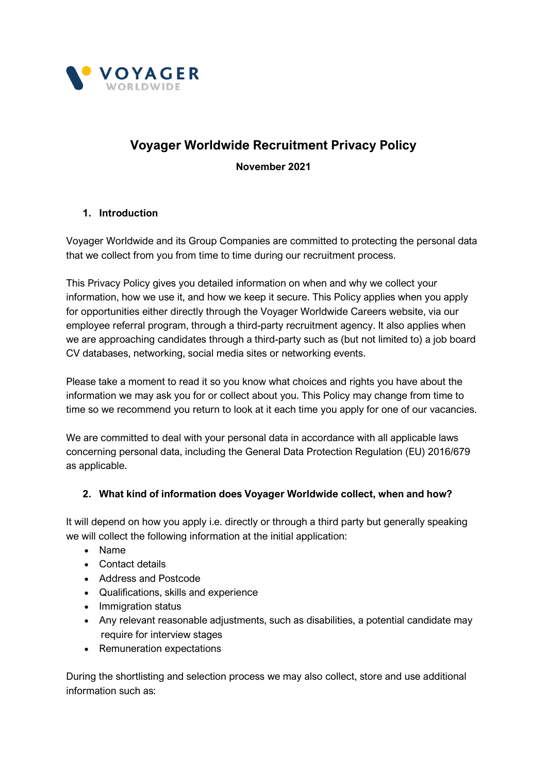

# **Voyager Worldwide Recruitment Privacy Policy**

**November 2021**

## **1. Introduction**

Voyager Worldwide and its Group Companies are committed to protecting the personal data that we collect from you from time to time during our recruitment process.

This Privacy Policy gives you detailed information on when and why we collect your information, how we use it, and how we keep it secure. This Policy applies when you apply for opportunities either directly through the Voyager Worldwide Careers website, via our employee referral program, through a third-party recruitment agency. It also applies when we are approaching candidates through a third-party such as (but not limited to) a job board CV databases, networking, social media sites or networking events.

Please take a moment to read it so you know what choices and rights you have about the information we may ask you for or collect about you. This Policy may change from time to time so we recommend you return to look at it each time you apply for one of our vacancies.

We are committed to deal with your personal data in accordance with all applicable laws concerning personal data, including the General Data Protection Regulation (EU) 2016/679 as applicable.

## **2. What kind of information does Voyager Worldwide collect, when and how?**

It will depend on how you apply i.e. directly or through a third party but generally speaking we will collect the following information at the initial application:

- Name
- Contact details
- Address and Postcode
- Qualifications, skills and experience
- Immigration status
- Any relevant reasonable adjustments, such as disabilities, a potential candidate may require for interview stages
- Remuneration expectations

During the shortlisting and selection process we may also collect, store and use additional information such as: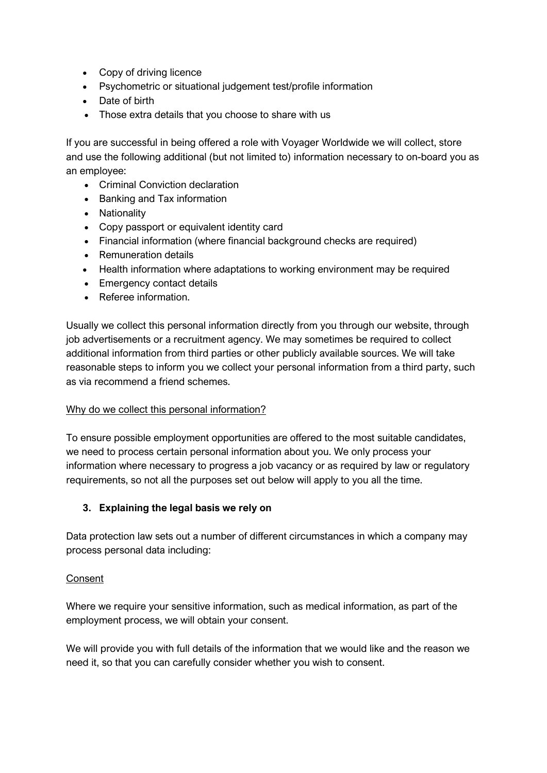- Copy of driving licence
- Psychometric or situational judgement test/profile information
- Date of birth
- Those extra details that you choose to share with us

If you are successful in being offered a role with Voyager Worldwide we will collect, store and use the following additional (but not limited to) information necessary to on-board you as an employee:

- Criminal Conviction declaration
- Banking and Tax information
- Nationality
- Copy passport or equivalent identity card
- Financial information (where financial background checks are required)
- Remuneration details
- Health information where adaptations to working environment may be required
- Emergency contact details
- Referee information.

Usually we collect this personal information directly from you through our website, through job advertisements or a recruitment agency. We may sometimes be required to collect additional information from third parties or other publicly available sources. We will take reasonable steps to inform you we collect your personal information from a third party, such as via recommend a friend schemes.

#### Why do we collect this personal information?

To ensure possible employment opportunities are offered to the most suitable candidates, we need to process certain personal information about you. We only process your information where necessary to progress a job vacancy or as required by law or regulatory requirements, so not all the purposes set out below will apply to you all the time.

## **3. Explaining the legal basis we rely on**

Data protection law sets out a number of different circumstances in which a company may process personal data including:

#### Consent

Where we require your sensitive information, such as medical information, as part of the employment process, we will obtain your consent.

We will provide you with full details of the information that we would like and the reason we need it, so that you can carefully consider whether you wish to consent.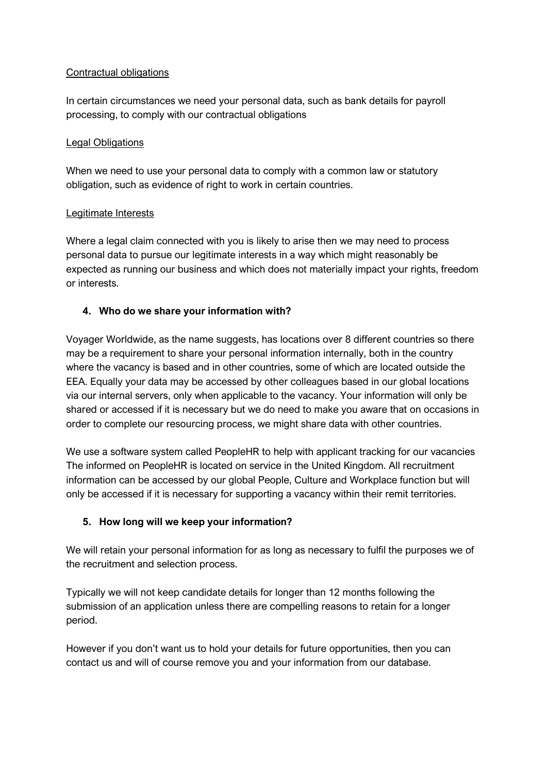## Contractual obligations

In certain circumstances we need your personal data, such as bank details for payroll processing, to comply with our contractual obligations

#### Legal Obligations

When we need to use your personal data to comply with a common law or statutory obligation, such as evidence of right to work in certain countries.

## Legitimate Interests

Where a legal claim connected with you is likely to arise then we may need to process personal data to pursue our legitimate interests in a way which might reasonably be expected as running our business and which does not materially impact your rights, freedom or interests.

## **4. Who do we share your information with?**

Voyager Worldwide, as the name suggests, has locations over 8 different countries so there may be a requirement to share your personal information internally, both in the country where the vacancy is based and in other countries, some of which are located outside the EEA. Equally your data may be accessed by other colleagues based in our global locations via our internal servers, only when applicable to the vacancy. Your information will only be shared or accessed if it is necessary but we do need to make you aware that on occasions in order to complete our resourcing process, we might share data with other countries.

We use a software system called PeopleHR to help with applicant tracking for our vacancies The informed on PeopleHR is located on service in the United Kingdom. All recruitment information can be accessed by our global People, Culture and Workplace function but will only be accessed if it is necessary for supporting a vacancy within their remit territories.

# **5. How long will we keep your information?**

We will retain your personal information for as long as necessary to fulfil the purposes we of the recruitment and selection process.

Typically we will not keep candidate details for longer than 12 months following the submission of an application unless there are compelling reasons to retain for a longer period.

However if you don't want us to hold your details for future opportunities, then you can contact us and will of course remove you and your information from our database.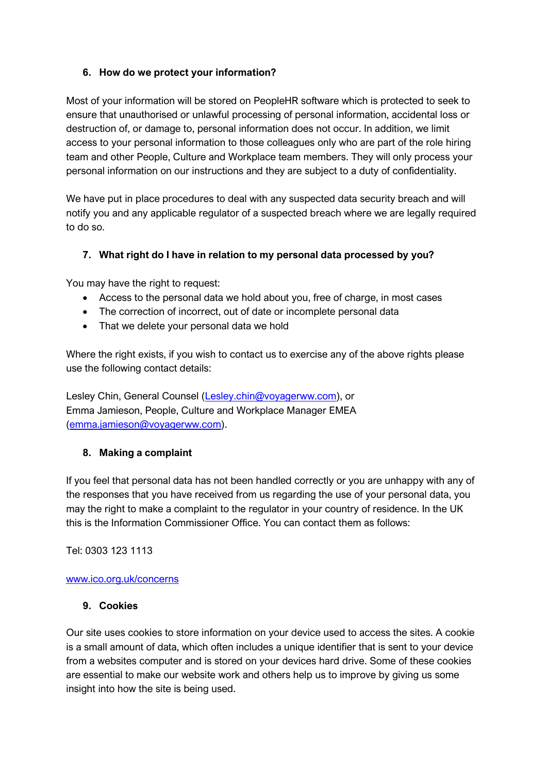## **6. How do we protect your information?**

Most of your information will be stored on PeopleHR software which is protected to seek to ensure that unauthorised or unlawful processing of personal information, accidental loss or destruction of, or damage to, personal information does not occur. In addition, we limit access to your personal information to those colleagues only who are part of the role hiring team and other People, Culture and Workplace team members. They will only process your personal information on our instructions and they are subject to a duty of confidentiality.

We have put in place procedures to deal with any suspected data security breach and will notify you and any applicable regulator of a suspected breach where we are legally required to do so.

# **7. What right do I have in relation to my personal data processed by you?**

You may have the right to request:

- Access to the personal data we hold about you, free of charge, in most cases
- The correction of incorrect, out of date or incomplete personal data
- That we delete your personal data we hold

Where the right exists, if you wish to contact us to exercise any of the above rights please use the following contact details:

Lesley Chin, General Counsel [\(Lesley.chin@voyagerww.com\)](mailto:Lesley.chin@voyagerww.com), or Emma Jamieson, People, Culture and Workplace Manager EMEA [\(emma.jamieson@voyagerww.com\)](mailto:emma.jamieson@voyagerww.com).

## **8. Making a complaint**

If you feel that personal data has not been handled correctly or you are unhappy with any of the responses that you have received from us regarding the use of your personal data, you may the right to make a complaint to the regulator in your country of residence. In the UK this is the Information Commissioner Office. You can contact them as follows:

Tel: 0303 123 1113

## [www.ico.org.uk/concerns](http://www.ico.org.uk/concerns)

#### **9. Cookies**

Our site uses cookies to store information on your device used to access the sites. A cookie is a small amount of data, which often includes a unique identifier that is sent to your device from a websites computer and is stored on your devices hard drive. Some of these cookies are essential to make our website work and others help us to improve by giving us some insight into how the site is being used.